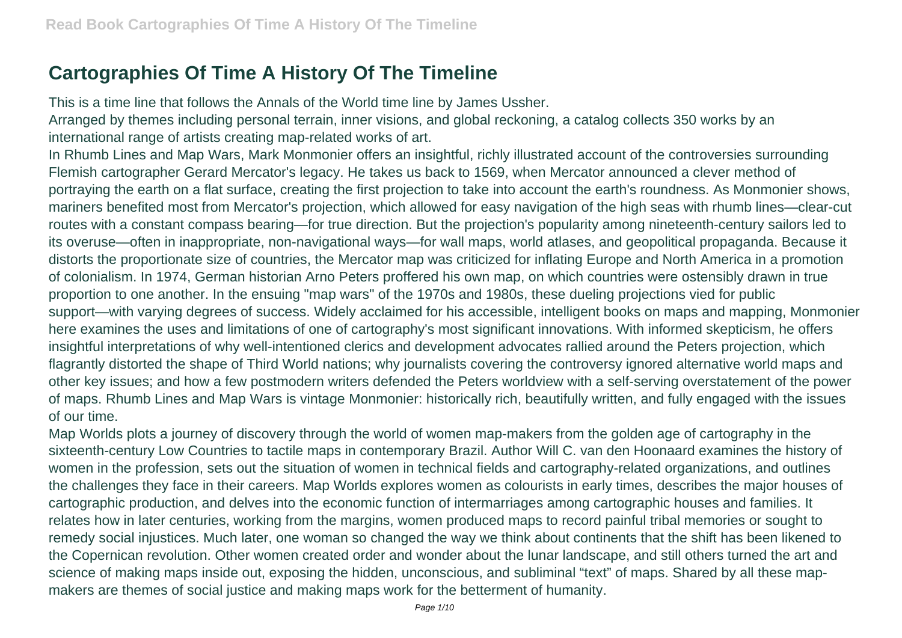# **Cartographies Of Time A History Of The Timeline**

This is a time line that follows the Annals of the World time line by James Ussher.

Arranged by themes including personal terrain, inner visions, and global reckoning, a catalog collects 350 works by an international range of artists creating map-related works of art.

In Rhumb Lines and Map Wars, Mark Monmonier offers an insightful, richly illustrated account of the controversies surrounding Flemish cartographer Gerard Mercator's legacy. He takes us back to 1569, when Mercator announced a clever method of portraying the earth on a flat surface, creating the first projection to take into account the earth's roundness. As Monmonier shows, mariners benefited most from Mercator's projection, which allowed for easy navigation of the high seas with rhumb lines—clear-cut routes with a constant compass bearing—for true direction. But the projection's popularity among nineteenth-century sailors led to its overuse—often in inappropriate, non-navigational ways—for wall maps, world atlases, and geopolitical propaganda. Because it distorts the proportionate size of countries, the Mercator map was criticized for inflating Europe and North America in a promotion of colonialism. In 1974, German historian Arno Peters proffered his own map, on which countries were ostensibly drawn in true proportion to one another. In the ensuing "map wars" of the 1970s and 1980s, these dueling projections vied for public support—with varying degrees of success. Widely acclaimed for his accessible, intelligent books on maps and mapping, Monmonier here examines the uses and limitations of one of cartography's most significant innovations. With informed skepticism, he offers insightful interpretations of why well-intentioned clerics and development advocates rallied around the Peters projection, which flagrantly distorted the shape of Third World nations; why journalists covering the controversy ignored alternative world maps and other key issues; and how a few postmodern writers defended the Peters worldview with a self-serving overstatement of the power of maps. Rhumb Lines and Map Wars is vintage Monmonier: historically rich, beautifully written, and fully engaged with the issues of our time.

Map Worlds plots a journey of discovery through the world of women map-makers from the golden age of cartography in the sixteenth-century Low Countries to tactile maps in contemporary Brazil. Author Will C. van den Hoonaard examines the history of women in the profession, sets out the situation of women in technical fields and cartography-related organizations, and outlines the challenges they face in their careers. Map Worlds explores women as colourists in early times, describes the major houses of cartographic production, and delves into the economic function of intermarriages among cartographic houses and families. It relates how in later centuries, working from the margins, women produced maps to record painful tribal memories or sought to remedy social injustices. Much later, one woman so changed the way we think about continents that the shift has been likened to the Copernican revolution. Other women created order and wonder about the lunar landscape, and still others turned the art and science of making maps inside out, exposing the hidden, unconscious, and subliminal "text" of maps. Shared by all these mapmakers are themes of social justice and making maps work for the betterment of humanity.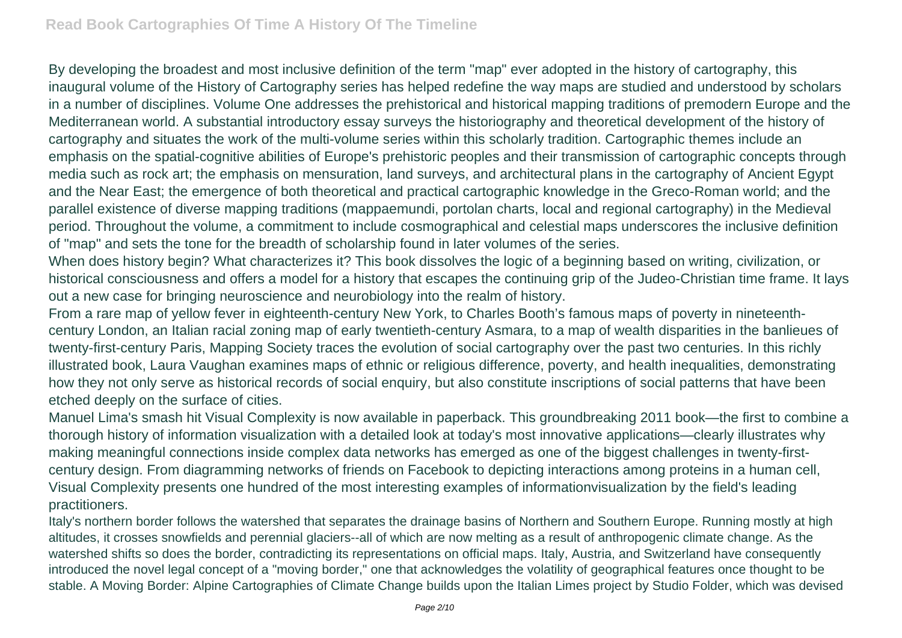By developing the broadest and most inclusive definition of the term "map" ever adopted in the history of cartography, this inaugural volume of the History of Cartography series has helped redefine the way maps are studied and understood by scholars in a number of disciplines. Volume One addresses the prehistorical and historical mapping traditions of premodern Europe and the Mediterranean world. A substantial introductory essay surveys the historiography and theoretical development of the history of cartography and situates the work of the multi-volume series within this scholarly tradition. Cartographic themes include an emphasis on the spatial-cognitive abilities of Europe's prehistoric peoples and their transmission of cartographic concepts through media such as rock art; the emphasis on mensuration, land surveys, and architectural plans in the cartography of Ancient Egypt and the Near East; the emergence of both theoretical and practical cartographic knowledge in the Greco-Roman world; and the parallel existence of diverse mapping traditions (mappaemundi, portolan charts, local and regional cartography) in the Medieval period. Throughout the volume, a commitment to include cosmographical and celestial maps underscores the inclusive definition of "map" and sets the tone for the breadth of scholarship found in later volumes of the series.

When does history begin? What characterizes it? This book dissolves the logic of a beginning based on writing, civilization, or historical consciousness and offers a model for a history that escapes the continuing grip of the Judeo-Christian time frame. It lays out a new case for bringing neuroscience and neurobiology into the realm of history.

From a rare map of yellow fever in eighteenth-century New York, to Charles Booth's famous maps of poverty in nineteenthcentury London, an Italian racial zoning map of early twentieth-century Asmara, to a map of wealth disparities in the banlieues of twenty-first-century Paris, Mapping Society traces the evolution of social cartography over the past two centuries. In this richly illustrated book, Laura Vaughan examines maps of ethnic or religious difference, poverty, and health inequalities, demonstrating how they not only serve as historical records of social enquiry, but also constitute inscriptions of social patterns that have been etched deeply on the surface of cities.

Manuel Lima's smash hit Visual Complexity is now available in paperback. This groundbreaking 2011 book—the first to combine a thorough history of information visualization with a detailed look at today's most innovative applications—clearly illustrates why making meaningful connections inside complex data networks has emerged as one of the biggest challenges in twenty-firstcentury design. From diagramming networks of friends on Facebook to depicting interactions among proteins in a human cell, Visual Complexity presents one hundred of the most interesting examples of informationvisualization by the field's leading practitioners.

Italy's northern border follows the watershed that separates the drainage basins of Northern and Southern Europe. Running mostly at high altitudes, it crosses snowfields and perennial glaciers--all of which are now melting as a result of anthropogenic climate change. As the watershed shifts so does the border, contradicting its representations on official maps. Italy, Austria, and Switzerland have consequently introduced the novel legal concept of a "moving border," one that acknowledges the volatility of geographical features once thought to be stable. A Moving Border: Alpine Cartographies of Climate Change builds upon the Italian Limes project by Studio Folder, which was devised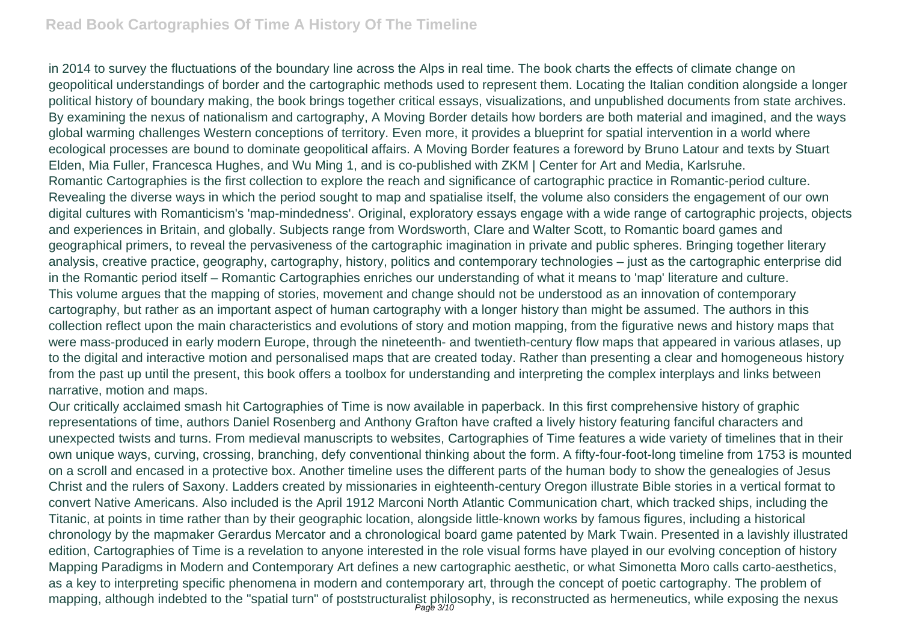#### **Read Book Cartographies Of Time A History Of The Timeline**

in 2014 to survey the fluctuations of the boundary line across the Alps in real time. The book charts the effects of climate change on geopolitical understandings of border and the cartographic methods used to represent them. Locating the Italian condition alongside a longer political history of boundary making, the book brings together critical essays, visualizations, and unpublished documents from state archives. By examining the nexus of nationalism and cartography, A Moving Border details how borders are both material and imagined, and the ways global warming challenges Western conceptions of territory. Even more, it provides a blueprint for spatial intervention in a world where ecological processes are bound to dominate geopolitical affairs. A Moving Border features a foreword by Bruno Latour and texts by Stuart Elden, Mia Fuller, Francesca Hughes, and Wu Ming 1, and is co-published with ZKM | Center for Art and Media, Karlsruhe. Romantic Cartographies is the first collection to explore the reach and significance of cartographic practice in Romantic-period culture. Revealing the diverse ways in which the period sought to map and spatialise itself, the volume also considers the engagement of our own digital cultures with Romanticism's 'map-mindedness'. Original, exploratory essays engage with a wide range of cartographic projects, objects and experiences in Britain, and globally. Subjects range from Wordsworth, Clare and Walter Scott, to Romantic board games and geographical primers, to reveal the pervasiveness of the cartographic imagination in private and public spheres. Bringing together literary analysis, creative practice, geography, cartography, history, politics and contemporary technologies – just as the cartographic enterprise did in the Romantic period itself – Romantic Cartographies enriches our understanding of what it means to 'map' literature and culture. This volume argues that the mapping of stories, movement and change should not be understood as an innovation of contemporary cartography, but rather as an important aspect of human cartography with a longer history than might be assumed. The authors in this collection reflect upon the main characteristics and evolutions of story and motion mapping, from the figurative news and history maps that were mass-produced in early modern Europe, through the nineteenth- and twentieth-century flow maps that appeared in various atlases, up to the digital and interactive motion and personalised maps that are created today. Rather than presenting a clear and homogeneous history from the past up until the present, this book offers a toolbox for understanding and interpreting the complex interplays and links between narrative, motion and maps.

Our critically acclaimed smash hit Cartographies of Time is now available in paperback. In this first comprehensive history of graphic representations of time, authors Daniel Rosenberg and Anthony Grafton have crafted a lively history featuring fanciful characters and unexpected twists and turns. From medieval manuscripts to websites, Cartographies of Time features a wide variety of timelines that in their own unique ways, curving, crossing, branching, defy conventional thinking about the form. A fifty-four-foot-long timeline from 1753 is mounted on a scroll and encased in a protective box. Another timeline uses the different parts of the human body to show the genealogies of Jesus Christ and the rulers of Saxony. Ladders created by missionaries in eighteenth-century Oregon illustrate Bible stories in a vertical format to convert Native Americans. Also included is the April 1912 Marconi North Atlantic Communication chart, which tracked ships, including the Titanic, at points in time rather than by their geographic location, alongside little-known works by famous figures, including a historical chronology by the mapmaker Gerardus Mercator and a chronological board game patented by Mark Twain. Presented in a lavishly illustrated edition, Cartographies of Time is a revelation to anyone interested in the role visual forms have played in our evolving conception of history Mapping Paradigms in Modern and Contemporary Art defines a new cartographic aesthetic, or what Simonetta Moro calls carto-aesthetics, as a key to interpreting specific phenomena in modern and contemporary art, through the concept of poetic cartography. The problem of mapping, although indebted to the "spatial turn" of poststructuralist philosophy, is reconstructed as hermeneutics, while exposing the nexus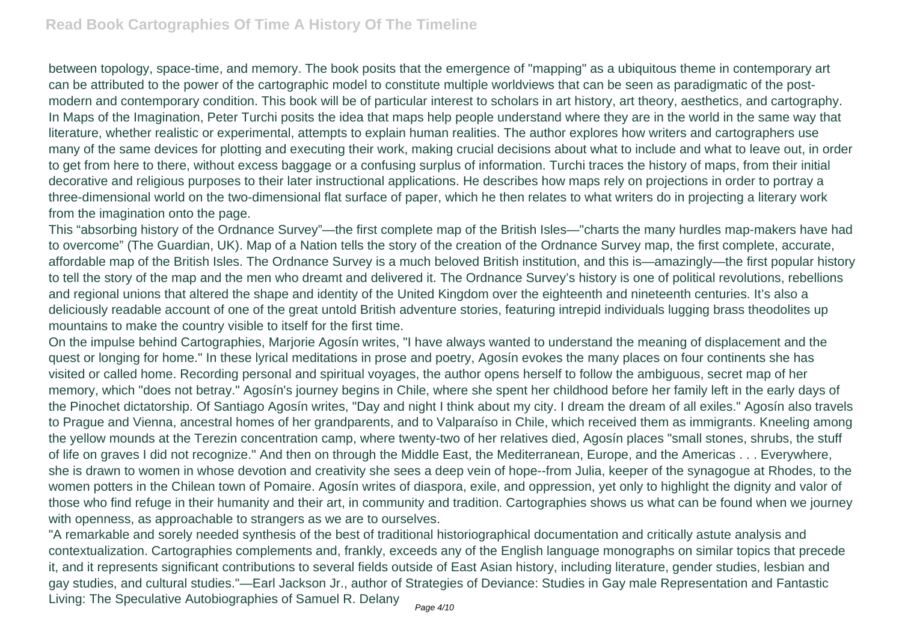between topology, space-time, and memory. The book posits that the emergence of "mapping" as a ubiquitous theme in contemporary art can be attributed to the power of the cartographic model to constitute multiple worldviews that can be seen as paradigmatic of the postmodern and contemporary condition. This book will be of particular interest to scholars in art history, art theory, aesthetics, and cartography. In Maps of the Imagination, Peter Turchi posits the idea that maps help people understand where they are in the world in the same way that literature, whether realistic or experimental, attempts to explain human realities. The author explores how writers and cartographers use many of the same devices for plotting and executing their work, making crucial decisions about what to include and what to leave out, in order to get from here to there, without excess baggage or a confusing surplus of information. Turchi traces the history of maps, from their initial decorative and religious purposes to their later instructional applications. He describes how maps rely on projections in order to portray a three-dimensional world on the two-dimensional flat surface of paper, which he then relates to what writers do in projecting a literary work from the imagination onto the page.

This "absorbing history of the Ordnance Survey"—the first complete map of the British Isles—"charts the many hurdles map-makers have had to overcome" (The Guardian, UK). Map of a Nation tells the story of the creation of the Ordnance Survey map, the first complete, accurate, affordable map of the British Isles. The Ordnance Survey is a much beloved British institution, and this is—amazingly—the first popular history to tell the story of the map and the men who dreamt and delivered it. The Ordnance Survey's history is one of political revolutions, rebellions and regional unions that altered the shape and identity of the United Kingdom over the eighteenth and nineteenth centuries. It's also a deliciously readable account of one of the great untold British adventure stories, featuring intrepid individuals lugging brass theodolites up mountains to make the country visible to itself for the first time.

On the impulse behind Cartographies, Marjorie Agosín writes, "I have always wanted to understand the meaning of displacement and the quest or longing for home." In these lyrical meditations in prose and poetry, Agosín evokes the many places on four continents she has visited or called home. Recording personal and spiritual voyages, the author opens herself to follow the ambiguous, secret map of her memory, which "does not betray." Agosín's journey begins in Chile, where she spent her childhood before her family left in the early days of the Pinochet dictatorship. Of Santiago Agosín writes, "Day and night I think about my city. I dream the dream of all exiles." Agosín also travels to Prague and Vienna, ancestral homes of her grandparents, and to Valparaíso in Chile, which received them as immigrants. Kneeling among the yellow mounds at the Terezin concentration camp, where twenty-two of her relatives died, Agosín places "small stones, shrubs, the stuff of life on graves I did not recognize." And then on through the Middle East, the Mediterranean, Europe, and the Americas . . . Everywhere, she is drawn to women in whose devotion and creativity she sees a deep vein of hope--from Julia, keeper of the synagogue at Rhodes, to the women potters in the Chilean town of Pomaire. Agosín writes of diaspora, exile, and oppression, yet only to highlight the dignity and valor of those who find refuge in their humanity and their art, in community and tradition. Cartographies shows us what can be found when we journey with openness, as approachable to strangers as we are to ourselves.

"A remarkable and sorely needed synthesis of the best of traditional historiographical documentation and critically astute analysis and contextualization. Cartographies complements and, frankly, exceeds any of the English language monographs on similar topics that precede it, and it represents significant contributions to several fields outside of East Asian history, including literature, gender studies, lesbian and gay studies, and cultural studies."—Earl Jackson Jr., author of Strategies of Deviance: Studies in Gay male Representation and Fantastic Living: The Speculative Autobiographies of Samuel R. Delany Page 4/10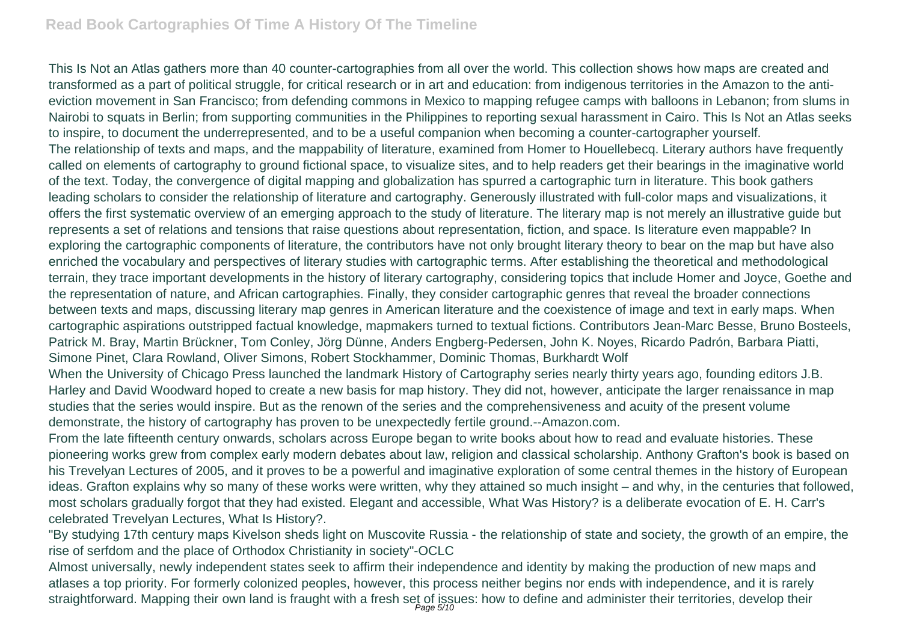## **Read Book Cartographies Of Time A History Of The Timeline**

This Is Not an Atlas gathers more than 40 counter-cartographies from all over the world. This collection shows how maps are created and transformed as a part of political struggle, for critical research or in art and education: from indigenous territories in the Amazon to the antieviction movement in San Francisco; from defending commons in Mexico to mapping refugee camps with balloons in Lebanon; from slums in Nairobi to squats in Berlin; from supporting communities in the Philippines to reporting sexual harassment in Cairo. This Is Not an Atlas seeks to inspire, to document the underrepresented, and to be a useful companion when becoming a counter-cartographer yourself. The relationship of texts and maps, and the mappability of literature, examined from Homer to Houellebecq. Literary authors have frequently called on elements of cartography to ground fictional space, to visualize sites, and to help readers get their bearings in the imaginative world of the text. Today, the convergence of digital mapping and globalization has spurred a cartographic turn in literature. This book gathers leading scholars to consider the relationship of literature and cartography. Generously illustrated with full-color maps and visualizations, it offers the first systematic overview of an emerging approach to the study of literature. The literary map is not merely an illustrative guide but represents a set of relations and tensions that raise questions about representation, fiction, and space. Is literature even mappable? In exploring the cartographic components of literature, the contributors have not only brought literary theory to bear on the map but have also enriched the vocabulary and perspectives of literary studies with cartographic terms. After establishing the theoretical and methodological terrain, they trace important developments in the history of literary cartography, considering topics that include Homer and Joyce, Goethe and the representation of nature, and African cartographies. Finally, they consider cartographic genres that reveal the broader connections between texts and maps, discussing literary map genres in American literature and the coexistence of image and text in early maps. When cartographic aspirations outstripped factual knowledge, mapmakers turned to textual fictions. Contributors Jean-Marc Besse, Bruno Bosteels, Patrick M. Bray, Martin Brückner, Tom Conley, Jörg Dünne, Anders Engberg-Pedersen, John K. Noyes, Ricardo Padrón, Barbara Piatti, Simone Pinet, Clara Rowland, Oliver Simons, Robert Stockhammer, Dominic Thomas, Burkhardt Wolf

When the University of Chicago Press launched the landmark History of Cartography series nearly thirty years ago, founding editors J.B. Harley and David Woodward hoped to create a new basis for map history. They did not, however, anticipate the larger renaissance in map studies that the series would inspire. But as the renown of the series and the comprehensiveness and acuity of the present volume demonstrate, the history of cartography has proven to be unexpectedly fertile ground.--Amazon.com.

From the late fifteenth century onwards, scholars across Europe began to write books about how to read and evaluate histories. These pioneering works grew from complex early modern debates about law, religion and classical scholarship. Anthony Grafton's book is based on his Trevelyan Lectures of 2005, and it proves to be a powerful and imaginative exploration of some central themes in the history of European ideas. Grafton explains why so many of these works were written, why they attained so much insight – and why, in the centuries that followed, most scholars gradually forgot that they had existed. Elegant and accessible, What Was History? is a deliberate evocation of E. H. Carr's celebrated Trevelyan Lectures, What Is History?.

"By studying 17th century maps Kivelson sheds light on Muscovite Russia - the relationship of state and society, the growth of an empire, the rise of serfdom and the place of Orthodox Christianity in society"-OCLC

Almost universally, newly independent states seek to affirm their independence and identity by making the production of new maps and atlases a top priority. For formerly colonized peoples, however, this process neither begins nor ends with independence, and it is rarely straightforward. Mapping their own land is fraught with a fresh set of issues: how to define and administer their territories, develop their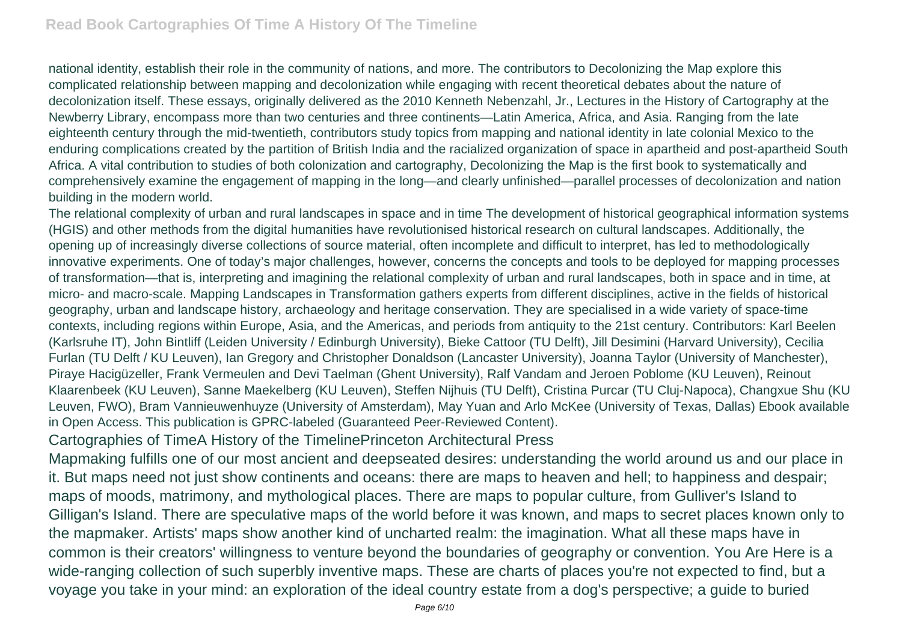national identity, establish their role in the community of nations, and more. The contributors to Decolonizing the Map explore this complicated relationship between mapping and decolonization while engaging with recent theoretical debates about the nature of decolonization itself. These essays, originally delivered as the 2010 Kenneth Nebenzahl, Jr., Lectures in the History of Cartography at the Newberry Library, encompass more than two centuries and three continents—Latin America, Africa, and Asia. Ranging from the late eighteenth century through the mid-twentieth, contributors study topics from mapping and national identity in late colonial Mexico to the enduring complications created by the partition of British India and the racialized organization of space in apartheid and post-apartheid South Africa. A vital contribution to studies of both colonization and cartography, Decolonizing the Map is the first book to systematically and comprehensively examine the engagement of mapping in the long—and clearly unfinished—parallel processes of decolonization and nation building in the modern world.

The relational complexity of urban and rural landscapes in space and in time The development of historical geographical information systems (HGIS) and other methods from the digital humanities have revolutionised historical research on cultural landscapes. Additionally, the opening up of increasingly diverse collections of source material, often incomplete and difficult to interpret, has led to methodologically innovative experiments. One of today's major challenges, however, concerns the concepts and tools to be deployed for mapping processes of transformation—that is, interpreting and imagining the relational complexity of urban and rural landscapes, both in space and in time, at micro- and macro-scale. Mapping Landscapes in Transformation gathers experts from different disciplines, active in the fields of historical geography, urban and landscape history, archaeology and heritage conservation. They are specialised in a wide variety of space-time contexts, including regions within Europe, Asia, and the Americas, and periods from antiquity to the 21st century. Contributors: Karl Beelen (Karlsruhe IT), John Bintliff (Leiden University / Edinburgh University), Bieke Cattoor (TU Delft), Jill Desimini (Harvard University), Cecilia Furlan (TU Delft / KU Leuven), Ian Gregory and Christopher Donaldson (Lancaster University), Joanna Taylor (University of Manchester), Piraye Hacigüzeller, Frank Vermeulen and Devi Taelman (Ghent University), Ralf Vandam and Jeroen Poblome (KU Leuven), Reinout Klaarenbeek (KU Leuven), Sanne Maekelberg (KU Leuven), Steffen Nijhuis (TU Delft), Cristina Purcar (TU Cluj-Napoca), Changxue Shu (KU Leuven, FWO), Bram Vannieuwenhuyze (University of Amsterdam), May Yuan and Arlo McKee (University of Texas, Dallas) Ebook available in Open Access. This publication is GPRC-labeled (Guaranteed Peer-Reviewed Content).

Cartographies of TimeA History of the TimelinePrinceton Architectural Press

Mapmaking fulfills one of our most ancient and deepseated desires: understanding the world around us and our place in it. But maps need not just show continents and oceans: there are maps to heaven and hell; to happiness and despair; maps of moods, matrimony, and mythological places. There are maps to popular culture, from Gulliver's Island to Gilligan's Island. There are speculative maps of the world before it was known, and maps to secret places known only to the mapmaker. Artists' maps show another kind of uncharted realm: the imagination. What all these maps have in common is their creators' willingness to venture beyond the boundaries of geography or convention. You Are Here is a wide-ranging collection of such superbly inventive maps. These are charts of places you're not expected to find, but a voyage you take in your mind: an exploration of the ideal country estate from a dog's perspective; a guide to buried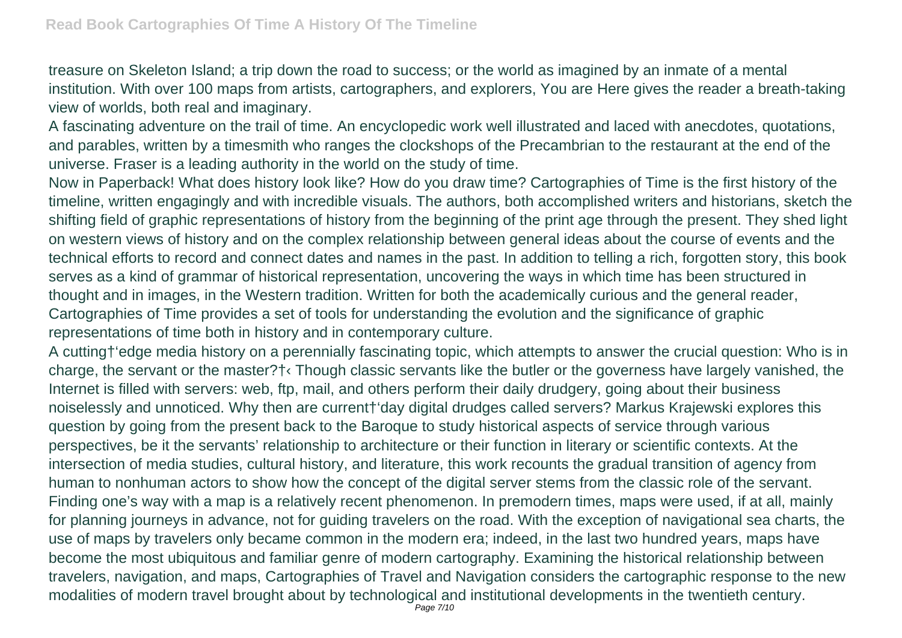treasure on Skeleton Island; a trip down the road to success; or the world as imagined by an inmate of a mental institution. With over 100 maps from artists, cartographers, and explorers, You are Here gives the reader a breath-taking view of worlds, both real and imaginary.

A fascinating adventure on the trail of time. An encyclopedic work well illustrated and laced with anecdotes, quotations, and parables, written by a timesmith who ranges the clockshops of the Precambrian to the restaurant at the end of the universe. Fraser is a leading authority in the world on the study of time.

Now in Paperback! What does history look like? How do you draw time? Cartographies of Time is the first history of the timeline, written engagingly and with incredible visuals. The authors, both accomplished writers and historians, sketch the shifting field of graphic representations of history from the beginning of the print age through the present. They shed light on western views of history and on the complex relationship between general ideas about the course of events and the technical efforts to record and connect dates and names in the past. In addition to telling a rich, forgotten story, this book serves as a kind of grammar of historical representation, uncovering the ways in which time has been structured in thought and in images, in the Western tradition. Written for both the academically curious and the general reader, Cartographies of Time provides a set of tools for understanding the evolution and the significance of graphic representations of time both in history and in contemporary culture.

A cutting†'edge media history on a perennially fascinating topic, which attempts to answer the crucial question: Who is in charge, the servant or the master?†‹ Though classic servants like the butler or the governess have largely vanished, the Internet is filled with servers: web, ftp, mail, and others perform their daily drudgery, going about their business noiselessly and unnoticed. Why then are current†'day digital drudges called servers? Markus Krajewski explores this question by going from the present back to the Baroque to study historical aspects of service through various perspectives, be it the servants' relationship to architecture or their function in literary or scientific contexts. At the intersection of media studies, cultural history, and literature, this work recounts the gradual transition of agency from human to nonhuman actors to show how the concept of the digital server stems from the classic role of the servant. Finding one's way with a map is a relatively recent phenomenon. In premodern times, maps were used, if at all, mainly for planning journeys in advance, not for guiding travelers on the road. With the exception of navigational sea charts, the use of maps by travelers only became common in the modern era; indeed, in the last two hundred years, maps have become the most ubiquitous and familiar genre of modern cartography. Examining the historical relationship between travelers, navigation, and maps, Cartographies of Travel and Navigation considers the cartographic response to the new modalities of modern travel brought about by technological and institutional developments in the twentieth century. Page 7/10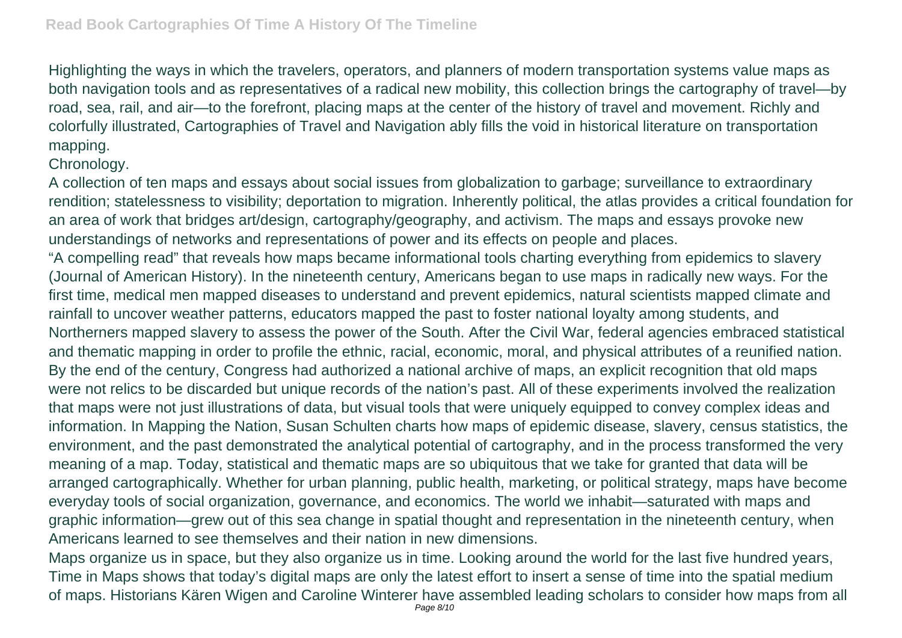Highlighting the ways in which the travelers, operators, and planners of modern transportation systems value maps as both navigation tools and as representatives of a radical new mobility, this collection brings the cartography of travel—by road, sea, rail, and air—to the forefront, placing maps at the center of the history of travel and movement. Richly and colorfully illustrated, Cartographies of Travel and Navigation ably fills the void in historical literature on transportation mapping.

# Chronology.

A collection of ten maps and essays about social issues from globalization to garbage; surveillance to extraordinary rendition; statelessness to visibility; deportation to migration. Inherently political, the atlas provides a critical foundation for an area of work that bridges art/design, cartography/geography, and activism. The maps and essays provoke new understandings of networks and representations of power and its effects on people and places.

"A compelling read" that reveals how maps became informational tools charting everything from epidemics to slavery (Journal of American History). In the nineteenth century, Americans began to use maps in radically new ways. For the first time, medical men mapped diseases to understand and prevent epidemics, natural scientists mapped climate and rainfall to uncover weather patterns, educators mapped the past to foster national loyalty among students, and Northerners mapped slavery to assess the power of the South. After the Civil War, federal agencies embraced statistical and thematic mapping in order to profile the ethnic, racial, economic, moral, and physical attributes of a reunified nation. By the end of the century, Congress had authorized a national archive of maps, an explicit recognition that old maps were not relics to be discarded but unique records of the nation's past. All of these experiments involved the realization that maps were not just illustrations of data, but visual tools that were uniquely equipped to convey complex ideas and information. In Mapping the Nation, Susan Schulten charts how maps of epidemic disease, slavery, census statistics, the environment, and the past demonstrated the analytical potential of cartography, and in the process transformed the very meaning of a map. Today, statistical and thematic maps are so ubiquitous that we take for granted that data will be arranged cartographically. Whether for urban planning, public health, marketing, or political strategy, maps have become everyday tools of social organization, governance, and economics. The world we inhabit—saturated with maps and graphic information—grew out of this sea change in spatial thought and representation in the nineteenth century, when Americans learned to see themselves and their nation in new dimensions.

Maps organize us in space, but they also organize us in time. Looking around the world for the last five hundred years, Time in Maps shows that today's digital maps are only the latest effort to insert a sense of time into the spatial medium of maps. Historians Kären Wigen and Caroline Winterer have assembled leading scholars to consider how maps from all Page 8/10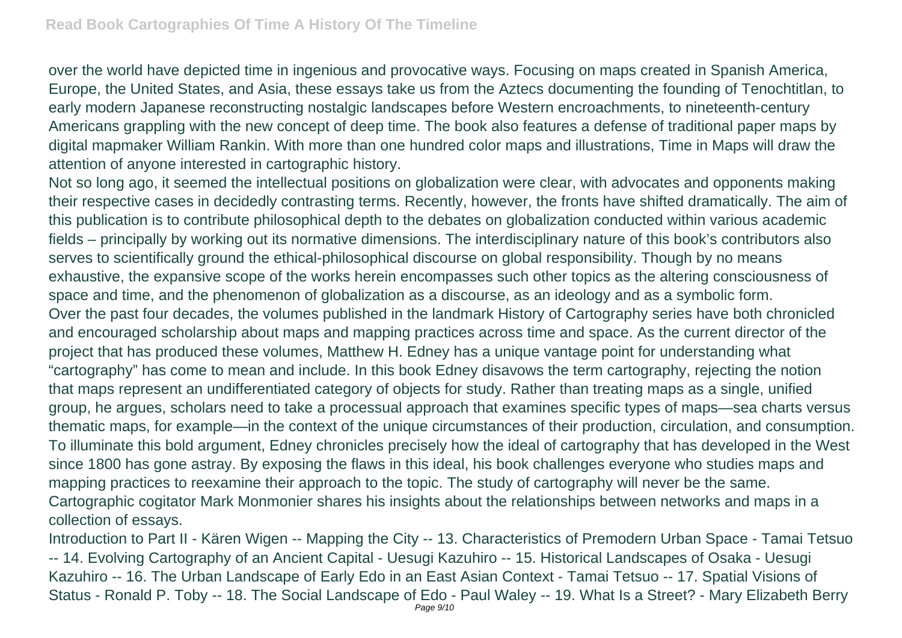over the world have depicted time in ingenious and provocative ways. Focusing on maps created in Spanish America, Europe, the United States, and Asia, these essays take us from the Aztecs documenting the founding of Tenochtitlan, to early modern Japanese reconstructing nostalgic landscapes before Western encroachments, to nineteenth-century Americans grappling with the new concept of deep time. The book also features a defense of traditional paper maps by digital mapmaker William Rankin. With more than one hundred color maps and illustrations, Time in Maps will draw the attention of anyone interested in cartographic history.

Not so long ago, it seemed the intellectual positions on globalization were clear, with advocates and opponents making their respective cases in decidedly contrasting terms. Recently, however, the fronts have shifted dramatically. The aim of this publication is to contribute philosophical depth to the debates on globalization conducted within various academic fields – principally by working out its normative dimensions. The interdisciplinary nature of this book's contributors also serves to scientifically ground the ethical-philosophical discourse on global responsibility. Though by no means exhaustive, the expansive scope of the works herein encompasses such other topics as the altering consciousness of space and time, and the phenomenon of globalization as a discourse, as an ideology and as a symbolic form. Over the past four decades, the volumes published in the landmark History of Cartography series have both chronicled and encouraged scholarship about maps and mapping practices across time and space. As the current director of the project that has produced these volumes, Matthew H. Edney has a unique vantage point for understanding what "cartography" has come to mean and include. In this book Edney disavows the term cartography, rejecting the notion that maps represent an undifferentiated category of objects for study. Rather than treating maps as a single, unified group, he argues, scholars need to take a processual approach that examines specific types of maps—sea charts versus thematic maps, for example—in the context of the unique circumstances of their production, circulation, and consumption. To illuminate this bold argument, Edney chronicles precisely how the ideal of cartography that has developed in the West since 1800 has gone astray. By exposing the flaws in this ideal, his book challenges everyone who studies maps and mapping practices to reexamine their approach to the topic. The study of cartography will never be the same. Cartographic cogitator Mark Monmonier shares his insights about the relationships between networks and maps in a collection of essays.

Introduction to Part II - Kären Wigen -- Mapping the City -- 13. Characteristics of Premodern Urban Space - Tamai Tetsuo -- 14. Evolving Cartography of an Ancient Capital - Uesugi Kazuhiro -- 15. Historical Landscapes of Osaka - Uesugi Kazuhiro -- 16. The Urban Landscape of Early Edo in an East Asian Context - Tamai Tetsuo -- 17. Spatial Visions of Status - Ronald P. Toby -- 18. The Social Landscape of Edo - Paul Waley -- 19. What Is a Street? - Mary Elizabeth Berry